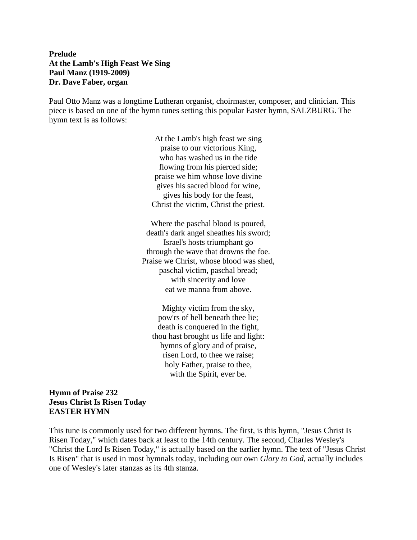## **Prelude At the Lamb's High Feast We Sing Paul Manz (1919-2009) Dr. Dave Faber, organ**

Paul Otto Manz was a longtime Lutheran organist, choirmaster, composer, and clinician. This piece is based on one of the hymn tunes setting this popular Easter hymn, SALZBURG. The hymn text is as follows:

> At the Lamb's high feast we sing praise to our victorious King, who has washed us in the tide flowing from his pierced side; praise we him whose love divine gives his sacred blood for wine, gives his body for the feast, Christ the victim, Christ the priest.

Where the paschal blood is poured, death's dark angel sheathes his sword; Israel's hosts triumphant go through the wave that drowns the foe. Praise we Christ, whose blood was shed, paschal victim, paschal bread; with sincerity and love eat we manna from above.

Mighty victim from the sky, pow'rs of hell beneath thee lie; death is conquered in the fight, thou hast brought us life and light: hymns of glory and of praise, risen Lord, to thee we raise; holy Father, praise to thee, with the Spirit, ever be.

#### **Hymn of Praise 232 Jesus Christ Is Risen Today EASTER HYMN**

This tune is commonly used for two different hymns. The first, is this hymn, "Jesus Christ Is Risen Today," which dates back at least to the 14th century. The second, Charles Wesley's "Christ the Lord Is Risen Today," is actually based on the earlier hymn. The text of "Jesus Christ Is Risen" that is used in most hymnals today, including our own *Glory to God*, actually includes one of Wesley's later stanzas as its 4th stanza.